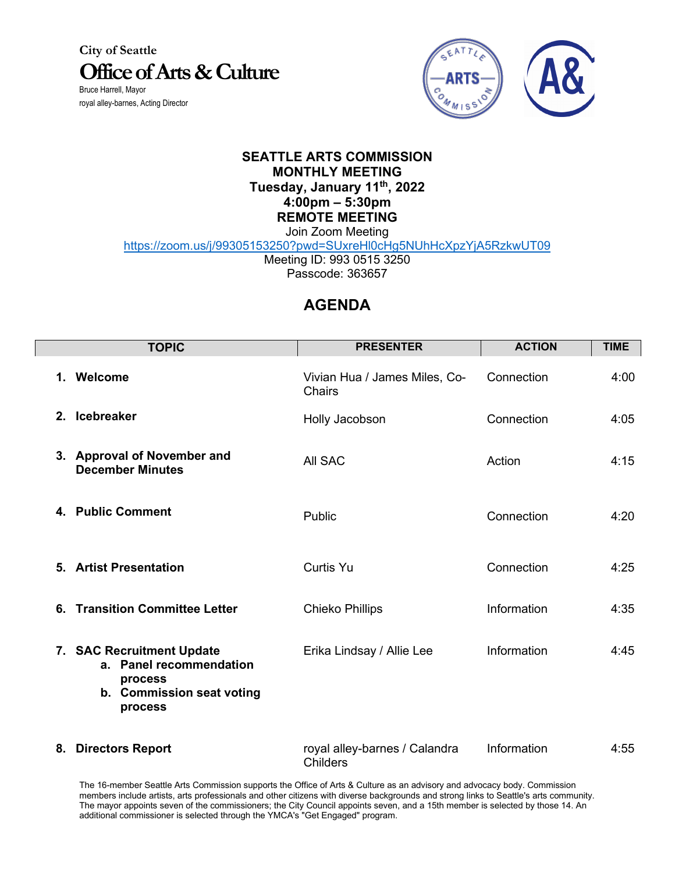**City of Seattle Office of Arts & Culture** Bruce Harrell, Mayor

royal alley-barnes, Acting Director



## **SEATTLE ARTS COMMISSION MONTHLY MEETING Tuesday, January 11th, 2022 4:00pm – 5:30pm REMOTE MEETING** Join Zoom Meeting

https://zoom.us/j/99305153250?pwd=SUxreHl0cHg5NUhHcXpzYjA5RzkwUT09

Meeting ID: 993 0515 3250

Passcode: 363657

## **AGENDA**

| <b>TOPIC</b>                                                                                            | <b>PRESENTER</b>                                 | <b>ACTION</b> | <b>TIME</b> |
|---------------------------------------------------------------------------------------------------------|--------------------------------------------------|---------------|-------------|
| 1. Welcome                                                                                              | Vivian Hua / James Miles, Co-<br><b>Chairs</b>   | Connection    | 4:00        |
| 2. Icebreaker                                                                                           | Holly Jacobson                                   | Connection    | 4:05        |
| 3. Approval of November and<br><b>December Minutes</b>                                                  | All SAC                                          | Action        | 4:15        |
| 4. Public Comment                                                                                       | Public                                           | Connection    | 4:20        |
| 5. Artist Presentation                                                                                  | <b>Curtis Yu</b>                                 | Connection    | 4:25        |
| <b>Transition Committee Letter</b><br>6.                                                                | <b>Chieko Phillips</b>                           | Information   | 4:35        |
| 7. SAC Recruitment Update<br>a. Panel recommendation<br>process<br>b. Commission seat voting<br>process | Erika Lindsay / Allie Lee                        | Information   | 4:45        |
| <b>Directors Report</b><br>8.                                                                           | royal alley-barnes / Calandra<br><b>Childers</b> | Information   | 4:55        |

The 16-member Seattle Arts Commission supports the Office of Arts & Culture as an advisory and advocacy body. Commission members include artists, arts professionals and other citizens with diverse backgrounds and strong links to Seattle's arts community. The mayor appoints seven of the commissioners; the City Council appoints seven, and a 15th member is selected by those 14. An additional commissioner is selected through the YMCA's "Get Engaged" program.